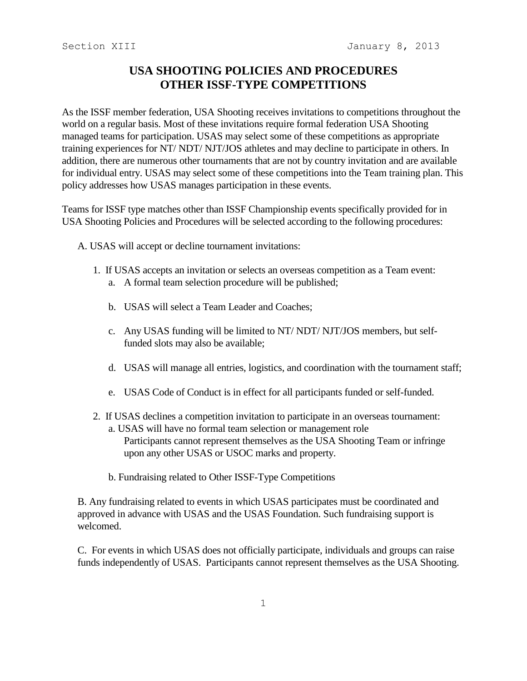## **USA SHOOTING POLICIES AND PROCEDURES OTHER ISSF-TYPE COMPETITIONS**

As the ISSF member federation, USA Shooting receives invitations to competitions throughout the world on a regular basis. Most of these invitations require formal federation USA Shooting managed teams for participation. USAS may select some of these competitions as appropriate training experiences for NT/ NDT/ NJT/JOS athletes and may decline to participate in others. In addition, there are numerous other tournaments that are not by country invitation and are available for individual entry. USAS may select some of these competitions into the Team training plan. This policy addresses how USAS manages participation in these events.

Teams for ISSF type matches other than ISSF Championship events specifically provided for in USA Shooting Policies and Procedures will be selected according to the following procedures:

A. USAS will accept or decline tournament invitations:

- 1. If USAS accepts an invitation or selects an overseas competition as a Team event: a. A formal team selection procedure will be published;
	- b. USAS will select a Team Leader and Coaches;
	- c. Any USAS funding will be limited to NT/ NDT/ NJT/JOS members, but selffunded slots may also be available;
	- d. USAS will manage all entries, logistics, and coordination with the tournament staff;
	- e. USAS Code of Conduct is in effect for all participants funded or self-funded.
- 2. If USAS declines a competition invitation to participate in an overseas tournament:
	- a. USAS will have no formal team selection or management role Participants cannot represent themselves as the USA Shooting Team or infringe upon any other USAS or USOC marks and property.
	- b. Fundraising related to Other ISSF-Type Competitions

B. Any fundraising related to events in which USAS participates must be coordinated and approved in advance with USAS and the USAS Foundation. Such fundraising support is welcomed.

C. For events in which USAS does not officially participate, individuals and groups can raise funds independently of USAS. Participants cannot represent themselves as the USA Shooting.